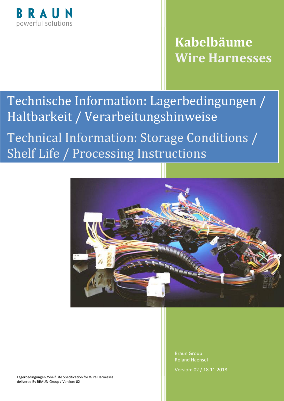

## **Kabelbäume Wire Harnesses**

## Technische Information: Lagerbedingungen / Haltbarkeit / Verarbeitungshinweise

Technical Information: Storage Conditions / Shelf Life / Processing Instructions



Lagerbedingungen /Shelf Life Specification for Wire Harnesses delivered By BRAUN-Group / Version: 02

Braun Group Roland Haensel Version: 02 / 18.11.2018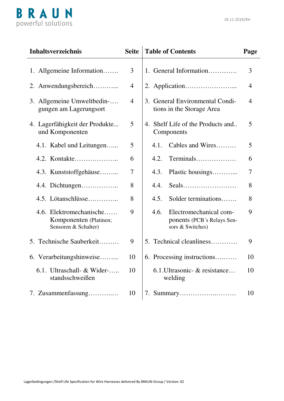

| <b>Inhaltsverzeichnis</b>                                                 | <b>Seite</b>   | <b>Table of Contents</b>                                                         | Page |
|---------------------------------------------------------------------------|----------------|----------------------------------------------------------------------------------|------|
| 1. Allgemeine Information                                                 | 3              | 1. General Information                                                           | 3    |
| 2. Anwendungsbereich                                                      | 4              |                                                                                  | 4    |
| 3. Allgemeine Umweltbedin-<br>gungen am Lagerungsort                      | $\overline{4}$ | 3. General Environmental Condi-<br>tions in the Storage Area                     | 4    |
| 4. Lagerfähigkeit der Produkte<br>und Komponenten                         | 5              | 4. Shelf Life of the Products and<br>Components                                  | 5    |
| 4.1. Kabel und Leitungen                                                  | 5              | Cables and Wires<br>4.1.                                                         | 5    |
| 4.2. Kontakte                                                             | 6              | Terminals<br>4.2.                                                                | 6    |
| 4.3. Kunststoffgehäuse                                                    | 7              | Plastic housings<br>4.3.                                                         | 7    |
| 4.4. Dichtungen                                                           | 8              | 4.4.                                                                             | 8    |
| 4.5. Lötanschlüsse                                                        | 8              | Solder terminations<br>4.5.                                                      | 8    |
| 4.6. Elektromechanische<br>Komponenten (Platinen;<br>Sensoren & Schalter) | 9              | Electromechanical com-<br>4.6.<br>ponents (PCB's Relays Sen-<br>sors & Switches) | 9    |
| 5. Technische Sauberkeit                                                  | 9              | 5. Technical cleanliness                                                         | 9    |
| 6. Verarbeitungshinweise                                                  | 10             | 6. Processing instructions                                                       | 10   |
| 6.1. Ultraschall- & Wider-<br>standsschweißen                             | 10             | 6.1. Ultrasonic - & resistance<br>welding                                        | 10   |
| 7. Zusammenfassung                                                        | 10             |                                                                                  | 10   |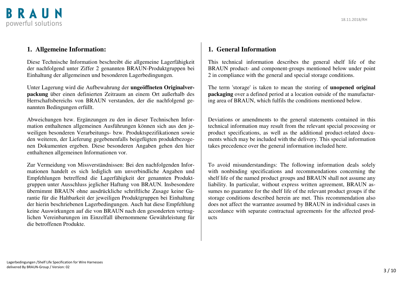

#### **1. Allgemeine Information:**

Diese Technische Information beschreibt die allgemeine Lagerfähigkeit der nachfolgend unter Ziffer 2 genannten BRAUN-Produktgruppen bei Einhaltung der allgemeinen und besonderen Lagerbedingungen.

Unter Lagerung wird die Aufbewahrung der **ungeöffneten Originalverpackung** über einen definierten Zeitraum an einem Ort außerhalb des Herrschaftsbereichs von BRAUN verstanden, der die nachfolgend genannten Bedingungen erfüllt.

Abweichungen bzw. Ergänzungen zu den in dieser Technischen Information enthaltenen allgemeinen Ausführungen können sich aus den jeweiligen besonderen Verarbeitungs- bzw. Produktspezifikationen sowie den weiteren, der Lieferung gegebenenfalls beigefügten produktbezogenen Dokumenten ergeben. Diese besonderen Angaben gehen den hier enthaltenen allgemeinen Informationen vor.

Zur Vermeidung von Missverständnissen: Bei den nachfolgenden Informationen handelt es sich lediglich um unverbindliche Angaben und Empfehlungen betreffend die Lagerfähigkeit der genannten Produktgruppen unter Ausschluss jeglicher Haftung von BRAUN. Insbesondere übernimmt BRAUN ohne ausdrückliche schriftliche Zusage keine Garantie für die Haltbarkeit der jeweiligen Produktgruppen bei Einhaltung der hierin beschriebenen Lagerbedingungen. Auch hat diese Empfehlung keine Auswirkungen auf die von BRAUN nach den gesonderten vertraglichen Vereinbarungen im Einzelfall übernommene Gewährleistung für die betroffenen Produkte.

#### **1. General Information**

This technical information describes the general shelf life of the BRAUN product- and component-groups mentioned below under point 2 in compliance with the general and special storage conditions.

The term 'storage' is taken to mean the storing of **unopened original packaging** over a defined period at a location outside of the manufacturing area of BRAUN, which fulfils the conditions mentioned below.

Deviations or amendments to the general statements contained in this technical information may result from the relevant special processing or product specifications, as well as the additional product-related documents which may be included with the delivery. This special information takes precedence over the general information included here.

To avoid misunderstandings: The following information deals solely with nonbinding specifications and recommendations concerning the shelf life of the named product groups and BRAUN shall not assume any liability. In particular, without express written agreement, BRAUN assumes no guarantee for the shelf life of the relevant product groups if the storage conditions described herein are met. This recommendation also does not affect the warrantee assumed by BRAUN in individual cases in accordance with separate contractual agreements for the affected products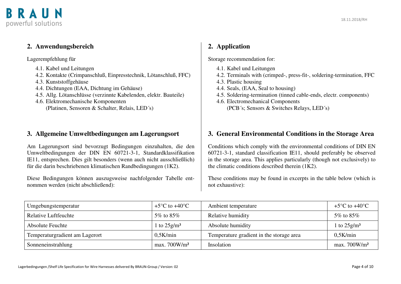



#### **2. Anwendungsbereich**

Lagerempfehlung für

- 4.1. Kabel und Leitungen
- 4.2. Kontakte (Crimpanschluß, Einpresstechnik, Lötanschluß, FFC)
- 4.3. Kunststoffgehäuse
- 4.4. Dichtungen (EAA, Dichtung im Gehäuse)
- 4.5. Allg. Lötanschlüsse (verzinnte Kabelenden, elektr. Bauteile)
- 4.6. Elektromechanische Komponenten (Platinen, Sensoren & Schalter, Relais, LED´s)

#### **3. Allgemeine Umweltbedingungen am Lagerungsort**

Am Lagerungsort sind bevorzugt Bedingungen einzuhalten, die den Umweltbedingungen der DIN EN 60721-3-1, Standardklassifikation IE11, entsprechen. Dies gilt besonders (wenn auch nicht ausschließlich) für die darin beschriebenen klimatischen Randbedingungen (1K2).

Diese Bedingungen können auszugsweise nachfolgender Tabelle entnommen werden (nicht abschließend):

#### **2. Application**

Storage recommendation for:

- 4.1. Kabel und Leitungen
- 4.2. Terminals with (crimped-, press-fit-, soldering-termination, FFC
- 4.3. Plastic housing
- 4.4. Seals, (EAA, Seal to housing)
- 4.5. Soldering-termination (tinned cable-ends, electr. components)
- 4.6. Electromechanical Components (PCB´s; Sensors & Switches Relays, LED´s)

#### **3. General Environmental Conditions in the Storage Area**

Conditions which comply with the environmental conditions of DIN EN 60721-3-1, standard classification IE11, should preferably be observed in the storage area. This applies particularly (though not exclusively) to the climatic conditions described therein (1K2).

These conditions may be found in excerpts in the table below (which is not exhaustive):

| Umgebungstemperatur            | $+5^{\circ}$ C to $+40^{\circ}$ C | Ambient temperature                      | $+5^{\circ}$ C to $+40^{\circ}$ C |
|--------------------------------|-----------------------------------|------------------------------------------|-----------------------------------|
| Relative Luftfeuchte           | 5\% to 85\%                       | Relative humidity                        | 5\% to 85\%                       |
| <b>Absolute Feuchte</b>        | 1 to $25$ g/m <sup>3</sup>        | Absolute humidity                        | 1 to $25 \text{g/m}^3$            |
| Temperaturgradient am Lagerort | 0.5K/min                          | Temperature gradient in the storage area | 0.5K/min                          |
| Sonneneinstrahlung             | max.700W/m <sup>2</sup>           | Insolation                               | max.700W/m <sup>2</sup>           |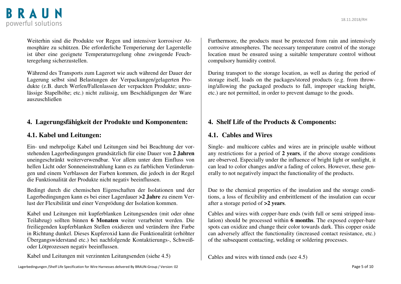

Weiterhin sind die Produkte vor Regen und intensiver korrosiver Atmosphäre zu schützen. Die erforderliche Temperierung der Lagerstelle ist über eine geeignete Temperaturregelung ohne zwingende Feuchteregelung sicherzustellen.

Während des Transports zum Lagerort wie auch während der Dauer der Lagerung selbst sind Belastungen der Verpackungen/gelagerten Produkte (z.B. durch Werfen/Fallenlassen der verpackten Produkte; unzulässige Stapelhöhe; etc.) nicht zulässig, um Beschädigungen der Ware auszuschließen

#### **4. Lagerungsfähigkeit der Produkte und Komponenten:**

#### **4.1. Kabel und Leitungen:**

Ein- und mehrpolige Kabel und Leitungen sind bei Beachtung der vorstehenden Lagerbedingungen grundsätzlich für eine Dauer von **2 Jahren**  uneingeschränkt weiterverwendbar. Vor allem unter dem Einfluss von hellen Licht oder Sonneneinstrahlung kann es zu farblichen Veränderungen und einem Verblassen der Farben kommen, die jedoch in der Regel die Funktionalität der Produkte nicht negativ beeinflussen.

Bedingt durch die chemischen Eigenschaften der Isolationen und der Lagerbedingungen kann es bei einer Lagerdauer **>2 Jahre** zu einem Verlust der Flexibilität und einer Versprödung der Isolation kommen.

Kabel und Leitungen mit kupferblanken Leitungsenden (mit oder ohne Teilabzug) sollten binnen **6 Monaten** weiter verarbeitet werden. Die freiliegenden kupferblanken Stellen oxidieren und verändern ihre Farbe in Richtung dunkel. Dieses Kupferoxid kann die Funktionalität (erhöhter Übergangswiderstand etc.) bei nachfolgende Kontaktierungs-, Schweißoder Lötprozessen negativ beeinflussen.

Kabel und Leitungen mit verzinnten Leitungsenden (siehe 4.5)

Furthermore, the products must be protected from rain and intensively corrosive atmospheres. The necessary temperature control of the storage location must be ensured using a suitable temperature control without compulsory humidity control.

During transport to the storage location, as well as during the period of storage itself, loads on the packages/stored products (e.g. from throwing/allowing the packaged products to fall, improper stacking height, etc.) are not permitted, in order to prevent damage to the goods.

#### **4. Shelf Life of the Products & Components:**

#### **4.1. Cables and Wires**

Single- and multicore cables and wires are in principle usable without any restrictions for a period of **2 years**, if the above storage conditions are observed. Especially under the influence of bright light or sunlight, it can lead to color changes and/or a fading of colors. However, these generally to not negatively impact the functionality of the products.

Due to the chemical properties of the insulation and the storage conditions, a loss of flexibility and embrittlement of the insulation can occur after a storage period of **>2 years**.

Cables and wires with copper-bare ends (with full or semi stripped insulation) should be processed within **6 months**. The exposed copper-bare spots can oxidize and change their color towards dark. This copper oxide can adversely affect the functionality (increased contact resistance, etc.) of the subsequent contacting, welding or soldering processes.

Cables and wires with tinned ends (see 4.5)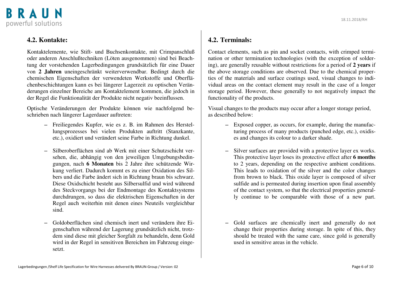

#### **4.2. Kontakte:**

Kontaktelemente, wie Stift- und Buchsenkontakte, mit Crimpanschluß oder anderen Anschlußtechniken (Löten ausgenommen) sind bei Beachtung der vorstehenden Lagerbedingungen grundsätzlich für eine Dauer von **2 Jahren** uneingeschränkt weiterverwendbar. Bedingt durch die chemischen Eigenschaften der verwendeten Werkstoffe und Oberflächenbeschichtungen kann es bei längerer Lagerzeit zu optischen Veränderungen einzelner Bereiche am Kontaktelement kommen, die jedoch in der Regel die Funktionalität der Produkte nicht negativ beeinflussen.

Optische Veränderungen der Produkte können wie nachfolgend beschrieben nach längerer Lagerdauer auftreten:

- −Freiliegendes Kupfer, wie es z. B. im Rahmen des Herstellungsprozesses bei vielen Produkten auftritt (Stanzkante, etc.), oxidiert und verändert seine Farbe in Richtung dunkel.
- −Silberoberflächen sind ab Werk mit einer Schutzschicht versehen, die, abhängig von den jeweiligen Umgebungsbedingungen, nach **6 Monaten** bis 2 Jahre ihre schützende Wirkung verliert. Dadurch kommt es zu einer Oxidation des Silbers und die Farbe ändert sich in Richtung braun bis schwarz. Diese Oxidschicht besteht aus Silbersulfid und wird während des Steckvorgangs bei der Endmontage des Kontaktsystems durchdrungen, so dass die elektrischen Eigenschaften in der Regel auch weiterhin mit denen eines Neuteils vergleichbar sind.
- −Goldoberflächen sind chemisch inert und verändern ihre Eigenschaften während der Lagerung grundsätzlich nicht, trotzdem sind diese mit gleicher Sorgfalt zu behandeln, denn Gold wird in der Regel in sensitiven Bereichen im Fahrzeug eingesetzt.

#### **4.2. Terminals:**

Contact elements, such as pin and socket contacts, with crimped termination or other termination technologies (with the exception of soldering), are generally reusable without restrictions for a period of **2 years** if the above storage conditions are observed. Due to the chemical properties of the materials and surface coatings used, visual changes to individual areas on the contact element may result in the case of a longer storage period. However, these generally to not negatively impact the functionality of the products.

Visual changes to the products may occur after a longer storage period, as described below:

- −Exposed copper, as occurs, for example, during the manufacturing process of many products (punched edge, etc.), oxidises and changes its colour to a darker shade.
- Silver surfaces are provided with a protective layer ex works. This protective layer loses its protective effect after **6 months** to 2 years, depending on the respective ambient conditions. This leads to oxidation of the silver and the color changes from brown to black. This oxide layer is composed of silver sulfide and is permeated during insertion upon final assembly of the contact system, so that the electrical properties generally continue to be comparable with those of a new part.
- Gold surfaces are chemically inert and generally do not change their properties during storage. In spite of this, they should be treated with the same care, since gold is generally used in sensitive areas in the vehicle.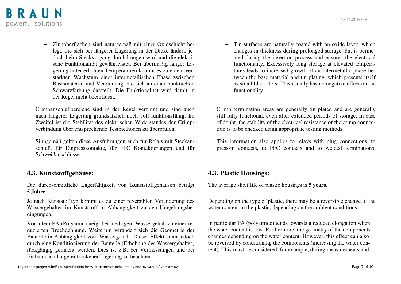

− Zinnoberflächen sind naturgemäß mit einer Oxidschicht belegt, die sich bei längerer Lagerung in der Dicke ändert, jedoch beim Steckvorgang durchdrungen wird und die elektrische Funktionalität gewährleistet. Bei übermäßig langer Lagerung unter erhöhten Temperaturen kommt es zu einem verstärkten Wachstum einer intermetallischen Phase zwischen Basismaterial und Verzinnung, die sich an einer punktuellen Schwarzfärbung darstellt. Die Funktionalität wird damit in der Regel nicht beeinflusst.

Crimpanschlußbereiche sind in der Regel verzinnt und sind auch nach längerer Lagerung grundsätzlich noch voll funktionsfähig. Im Zweifel ist die Stabilität des elektrischen Widerstandes der Crimpverbindung über entsprechende Testmethoden zu überprüfen.

Sinngemäß gelten diese Ausführungen auch für Relais mit Steckanschluß, für Einpresskontakte, für FFC Kontaktierungen und für Schweißanschlüsse.

#### **4.3. Kunststoffgehäuse:**

Die durchschnittliche Lagerfähigkeit von Kunststoffgehäusen beträgt **5 Jahre**.

Je nach Kunststofftyp kommt es zu einer reversiblen Veränderung des Wassergehaltes im Kunststoff in Abhängigkeit zu den Umgebungsbedingungen.

Vor allem PA (Polyamid) neigt bei niedrigem Wassergehalt zu einer reduzierten Bruchdehnung. Weiterhin verändert sich die Geometrie der Bauteile in Abhängigkeit vom Wassergehalt. Dieser Effekt kann jedoch durch eine Konditionierung der Bauteile (Erhöhung des Wassergehaltes) rückgängig gemacht werden. Dies ist z.B. bei Vermessungen und bei Einbau nach längerer trockener Lagerung zu beachten.

−Tin surfaces are naturally coated with an oxide layer, which changes in thickness during prolonged storage, but is permeated during the insertion process and ensures the electrical functionality. Excessively long storage at elevated temperatures leads to increased growth of an intermetallic-phase between the base material and tin plating, which presents itself as small black dots. This usually has no negative effect on the functionality.

Crimp termination areas are generally tin plated and are generally still fully functional, even after extended periods of storage. In case of doubt, the stability of the electrical resistance of the crimp connection is to be checked using appropriate testing methods.

This information also applies to relays with plug connections, to press-in contacts, to FFC contacts and to welded terminations.

#### **4.3. Plastic Housings:**

The average shelf life of plastic housings is **5 years**.

Depending on the type of plastic, there may be a reversible change of the water content in the plastic, depending on the ambient conditions.

In particular PA (polyamide) tends towards a reduced elongation when the water content is low. Furthermore, the geometry of the components changes depending on the water content. However, this effect can also be reversed by conditioning the components (increasing the water content). This must be considered, for example, during measurements and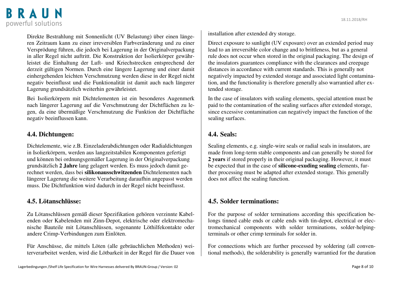### BRAUN powerful solutions

Direkte Bestrahlung mit Sonnenlicht (UV Belastung) über einen längeren Zeitraum kann zu einer irreversiblen Farbveränderung und zu einer Versprödung führen, die jedoch bei Lagerung in der Originalverpackung in aller Regel nicht auftritt. Die Konstruktion der Isolierkörper gewährleistet die Einhaltung der Luft- und Kriechstrecken entsprechend der derzeit gültigen Normen. Durch eine längere Lagerung und einer damit einhergehenden leichten Verschmutzung werden diese in der Regel nicht negativ beeinflusst und die Funktionalität ist damit auch nach längerer Lagerung grundsätzlich weiterhin gewährleistet.

Bei Isolierkörpern mit Dichtelementen ist ein besonderes Augenmerk nach längerer Lagerung auf die Verschmutzung der Dichtflächen zu legen, da eine übermäßige Verschmutzung die Funktion der Dichtfläche negativ beeinflussen kann.

#### **4.4. Dichtungen:**

Dichtelemente, wie z.B. Einzeladerabdichtungen oder Radialdichtungen in Isolierkörpern, werden aus langzeitstabilen Komponenten gefertigt und können bei ordnungsgemäßer Lagerung in der Originalverpackung grundsätzlich **2 Jahre** lang gelagert werden. Es muss jedoch damit gerechnet werden, dass bei **silikonausschwitzenden** Dichtelementen nach längerer Lagerung die weitere Verarbeitung daraufhin angepasst werden muss. Die Dichtfunktion wird dadurch in der Regel nicht beeinflusst.

#### **4.5. Lötanschlüsse:**

Zu Lötanschlüssen gemäß dieser Spezifikation gehören verzinnte Kabelenden oder Kabelenden mit Zinn-Depot, elektrische oder elektromechanische Bauteile mit Lötanschlüssen, sogenannte Löthilfekontakte oder andere Crimp-Verbindungen zum Einlöten.

Für Anschüsse, die mittels Löten (alle gebräuchlichen Methoden) weiterverarbeitet werden, wird die Lötbarkeit in der Regel für die Dauer von installation after extended dry storage.

Direct exposure to sunlight (UV exposure) over an extended period may lead to an irreversible color change and to brittleness, but as a general rule does not occur when stored in the original packaging. The design of the insulators guarantees compliance with the clearances and creepage distances in accordance with current standards. This is generally not negatively impacted by extended storage and associated light contamination, and the functionality is therefore generally also warrantied after extended storage.

In the case of insulators with sealing elements, special attention must be paid to the contamination of the sealing surfaces after extended storage, since excessive contamination can negatively impact the function of the sealing surfaces.

#### **4.4. Seals:**

Sealing elements, e.g. single-wire seals or radial seals in insulators, are made from long-term stable components and can generally be stored for **2 years** if stored properly in their original packaging. However, it must be expected that in the case of **silicone-exuding sealing** elements, further processing must be adapted after extended storage. This generally does not affect the sealing function.

#### **4.5. Solder terminations:**

For the purpose of solder terminations according this specification belongs tinned cable ends or cable ends with tin-depot, electrical or electromechanical components with solder terminations, solder-helpingterminals or other crimp terminals for solder in.

For connections which are further processed by soldering (all conventional methods), the solderability is generally warrantied for the duration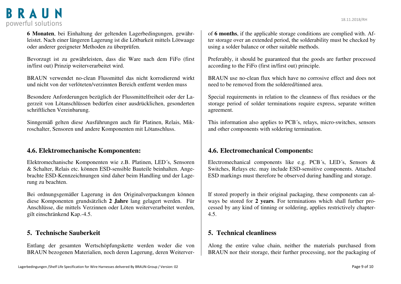

**6 Monaten**, bei Einhaltung der geltenden Lagerbedingungen, gewährleistet. Nach einer längeren Lagerung ist die Lötbarkeit mittels Lötwaage oder anderer geeigneter Methoden zu überprüfen.

Bevorzugt ist zu gewährleisten, dass die Ware nach dem FiFo (first in/first out) Prinzip weiterverarbeitet wird.

BRAUN verwendet no-clean Flussmittel das nicht korrodierend wirkt und nicht von der verlöteten/verzinnten Bereich entfernt werden muss

Besondere Anforderungen bezüglich der Flussmittelfreiheit oder der Lagerzeit von Lötanschlüssen bedürfen einer ausdrücklichen, gesonderten schriftlichen Vereinbarung.

Sinngemäß gelten diese Ausführungen auch für Platinen, Relais, Mikroschalter, Sensoren und andere Komponenten mit Lötanschluss.

#### **4.6. Elektromechanische Komponenten:**

Elektromechanische Komponenten wie z.B. Platinen, LED´s, Sensoren & Schalter, Relais etc. können ESD-sensible Bauteile beinhalten. Angebrachte ESD-Kennzeichnungen sind daher beim Handling und der Lagerung zu beachten.

Bei ordnungsgemäßer Lagerung in den Originalverpackungen können diese Komponenten grundsätzlich **2 Jahre** lang gelagert werden. Für Anschlüsse, die mittels Verzinnen oder Löten weiterverarbeitet werden, gilt einschränkend Kap.-4.5.

#### **5. Technische Sauberkeit**

Entlang der gesamten Wertschöpfungskette werden weder die von BRAUN bezogenen Materialien, noch deren Lagerung, deren Weiterver-

of **6 months**, if the applicable storage conditions are complied with. After storage over an extended period, the solderability must be checked by using a solder balance or other suitable methods.

Preferably, it should be guaranteed that the goods are further processed according to the FiFo (first in/first out) principle.

BRAUN use no-clean flux which have no corrosive effect and does not need to be removed from the soldered/tinned area.

Special requirements in relation to the cleanness of flux residues or the storage period of solder terminations require express, separate written agreement.

This information also applies to PCB´s, relays, micro-switches, sensors and other components with soldering termination.

#### **4.6. Electromechanical Components:**

Electromechanical components like e.g. PCB´s, LED´s, Sensors & Switches, Relays etc. may include ESD-sensitive components. Attached ESD markings must therefore be observed during handling and storage.

If stored properly in their original packaging, these components can always be stored for **2 years**. For terminations which shall further processed by any kind of tinning or soldering, applies restrictively chapter-4.5.

#### **5. Technical cleanliness**

Along the entire value chain, neither the materials purchased from BRAUN nor their storage, their further processing, nor the packaging of